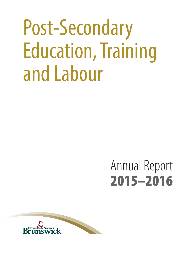# Post-Secondary Education, Training and Labour

# Annual Report 2015–2016

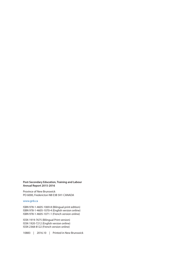#### **Post-Secondary Education, Training and Labour Annual Report 2015-2016**

Province of New Brunswick PO 6000, Fredericton NB E3B 5H1 CANADA

#### www.gnb.ca

ISBN 978-1-4605-1069-8 (Bilingual print edition) ISBN 978-1-4605-1070-4 (English version online) ISBN 978-1-4605-1071-1 (French version online)

ISSN 1919-7675 (Bilingual Print version) ISSN 1920-7212 (English version online) ISSN 2368-8122 (French version online)

10883 | 2016.10 | Printed in New Brunswick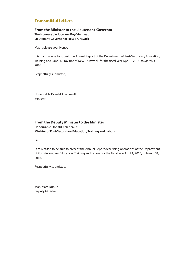### Transmittal letters

#### **From the Minister to the Lieutenant-Governor**

**The Honourable Jocelyne Roy-Vienneau Lieutenant-Governor of New Brunswick**

May it please your Honour:

It is my privilege to submit the Annual Report of the Department of Post-Secondary Education, Training and Labour, Province of New Brunswick, for the fiscal year April 1, 2015, to March 31, 2016.

Respectfully submitted,

Honourable Donald Arseneault Minister

#### **From the Deputy Minister to the Minister**

**Honourable Donald Arseneault Minister of Post-Secondary Education, Training and Labour**

Sir:

I am pleased to be able to present the Annual Report describing operations of the Department of Post-Secondary Education, Training and Labour for the fiscal year April 1, 2015, to March 31, 2016.

Respectfully submitted,

Jean-Marc Dupuis Deputy Minister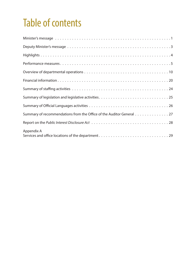# Table of contents

| Summary of recommendations from the Office of the Auditor General 27 |
|----------------------------------------------------------------------|
|                                                                      |
| Appendix A                                                           |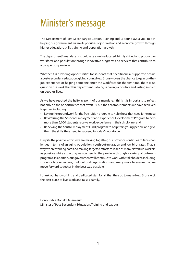# <span id="page-6-0"></span>Minister's message

The Department of Post-Secondary Education, Training and Labour plays a vital role in helping our government realize its priorities of job creation and economic growth through higher education, skills training and population growth.

The department's mandate is to cultivate a well-educated, highly skilled and productive workforce and population through innovative programs and services that contribute to a prosperous province.

Whether it is providing opportunities for students that need financial support to obtain a post-secondary education, giving young New Brunswickers the chance to gain on-thejob experience or helping someone enter the workforce for the first time, there is no question the work that this department is doing is having a positive and lasting impact on people's lives.

As we have reached the halfway point of our mandate, I think it is important to reflect not only on the opportunities that await us, but the accomplishments we have achieved together, including:

- Laying the groundwork for the free tuition program to help those that need it the most;
- Revitalizing the Student Employment and Experience Development Program to help more than 2,000 students receive work experience in their discipline; and
- Renewing the Youth Employment Fund program to help train young people and give them the skills they need to succeed in today's workforce.

Despite the positive efforts we are making together, our province continues to face challenges in terms of an aging population, youth out-migration and low birth rates. That is why we are working hard and making targeted efforts to reach as many New Brunswickers as possible while attracting newcomers to the province through a variety of outreach programs. In addition, our government will continue to work with stakeholders, including students, labour leaders, multicultural organizations and many more to ensure that we move forward together in the best way possible.

I thank our hardworking and dedicated staff for all that they do to make New Brunswick the best place to live, work and raise a family.

Honourable Donald Arseneault Minister of Post-Secondary Education, Training and Labour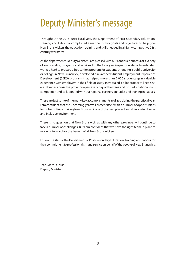# <span id="page-8-0"></span>Deputy Minister's message

Throughout the 2015-2016 fiscal year, the Department of Post-Secondary Education, Training and Labour accomplished a number of key goals and objectives to help give New Brunswickers the education, training and skills needed in a highly competitive 21st century workforce.

As the department's Deputy Minister, I am pleased with our continued success of a variety of longstanding programs and services. For the fiscal year in question, departmental staff worked hard to prepare a free tuition program for students attending a public university or college in New Brunswick, developed a revamped Student Employment Experience Development (SEED) program, that helped more than 2,000 students gain valuable experience with employers in their field of study, introduced a pilot project to keep several libraries across the province open every day of the week and hosted a national skills competition and collaborated with our regional partners on trades and training initiatives.

These are just some of the many key accomplishments realized during the past fiscal year. I am confident that the upcoming year will present itself with a number of opportunities for us to continue making New Brunswick one of the best places to work in a safe, diverse and inclusive environment.

There is no question that New Brunswick, as with any other province, will continue to face a number of challenges. But I am confident that we have the right team in place to move us forward for the benefit of all New Brunswickers.

I thank the staff of the Department of Post-Secondary Education, Training and Labour for their commitment to professionalism and service on behalf of the people of New Brunswick.

Jean-Marc Dupuis Deputy Minister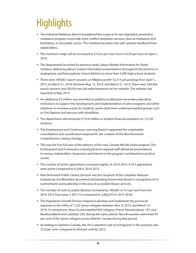# <span id="page-9-0"></span>**Highlights**

- The Industrial Relations Branch broadened the scope of its non-legislated, preventive mediation program to provide more conflict resolution services, such as mediation and facilitation, to the public sector. This initiative has been met with positive feedback from stakeholders.
- $\bullet$  The minimum wage will be increased to \$10.65 per hour from \$10.30 per hour on April 1, 2016.
- The department launched its province-wide Labour Market Information for Youth initiative, delivering labour market information presentations throughout the province in anglophone and francophone school districts to more than 2,000 high school students.
- There were 349,807 search sessions on NBjobs.ca with 32,313 job postings from April 1, 2015, to March 31, 2016. Between May 12, 2014, and March 31, 2015, there were 184,456 search sessions and 28,554 new job advertisements on the website. The website was launched in May 2014.
- An additional \$3 million was provided to publicly funded post-secondary education institutions to support the development and implementation of pilot programs and other initiatives to increase access for students, particularly from underrepresented groups such as First Nations and persons with disabilities.
- $\bullet$  The department administered \$153.8 million in student financial assistance to 12.720 students.
- The Employment and Continuous Learning Branch supported the stakeholder consultations and coordination required for the creation of the *New Brunswick Comprehensive Literacy Strategy*.
- This was the first full year of the delivery of the new Canada-NB Job Grant program. The Employment and Continuous Learning Branch regional staff delivered presentations to various stakeholders. Awareness and interest in the program contributed to positive results.
- $\bullet$  The number of active apprentices increased slightly. In 2015-2016, 4,323 apprentices were active compared to 4,228 in 2014-2015.
- New Brunswick Public Library Services was the recipient of the Canadian National Institute for the Blind New Brunswick Outstanding Partnership Award in recognition of its commitment and leadership in the area of accessible library services.
- The number of visits to public libraries increased by 180,961 or 9.5 per cent from the 2014-2015 fiscal year (1,901,714 compared to 2,082,675 in 2015-2016).
- The Population Growth Division helped to develop and implement the provincial response to the influx of 1,225 Syrian refugees between Nov. 4, 2015, and March 31, 2016. In comparison, Nova Scotia resettled 833 refugees, Prince Edward Island, 197, and Newfoundland and Labrador, 230, during the same period. New Brunswick welcomed 49 per cent of the Syrian refugees across Atlantic Canada during that period.
- According to Statistics Canada, the 2013 retention rate of immigrants in the province was 72.4 per cent, compared to 69.8 per cent for 2012.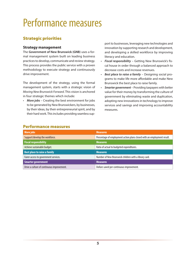# <span id="page-10-0"></span>Performance measures

### Strategic priorities

#### **Strategy management**

The **Government of New Brunswick (GNB)** uses a formal management system built on leading business practices to develop, communicate and review strategy. This process provides the public service with a proven methodology to execute strategy and continuously drive improvement.

The development of the strategy, using the formal management system, starts with a strategic vision of *Moving New Brunswick Forward*. This vision is anchored in four strategic themes which include:

• *More jobs* – Creating the best environment for jobs to be generated by New Brunswickers, by businesses, by their ideas, by their entrepreneurial spirit, and by their hard work. This includes providing seamless sup-

port to businesses, leveraging new technologies and innovation by supporting research and development, and developing a skilled workforce by improving literacy and education.

- *Fiscal responsibility* Getting New Brunswick's fiscal house in order through a balanced approach to decrease costs and increase revenues.
- *Best place to raise a family* Designing social programs to make life more affordable and make New Brunswick the best place to raise family.
- *Smarter government* Providing taxpayers with better value for their money by transforming the culture of government by eliminating waste and duplication, adopting new innovations in technology to improve services and savings and improving accountability measures.

| <b>More jobs</b>                           | <b>Measures</b>                                                         |
|--------------------------------------------|-------------------------------------------------------------------------|
| Support/develop the workforce.             | Percentage of employment action plans closed with an employment result. |
| <b>Fiscal responsibility</b>               | <b>Measures</b>                                                         |
| Achieve sustainable budget.                | Ratio of actual to budgeted expenditures.                               |
| <b>Best place to raise a family</b>        | <b>Measures</b>                                                         |
| Fairer access to government services.      | Number of New Brunswick children with a library card.                   |
| <b>Smarter government</b>                  | <b>Measures</b>                                                         |
| Drive a culture of continuous improvement. | Dollars saved per continuous improvement.                               |

### Performance measures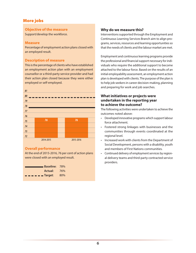### More jobs

#### **Objective of the measure**

Support/develop the workforce.

#### **Measure**

Percentage of employment action plans closed with an employed result.

#### **Description of measure**

This is the percentage of clients who have established an employment action plan with an employment counsellor or a third-party service provider and had their action plan closed because they were either employed or self-employed.



#### **Overall performance**

At the end of 2015-2016, 76 per cent of action plans were closed with an employed result.

| <b>Baseline: 78%</b>                                                                                                                                                                                                                                                                                                                                                                                                                                                                       |     |
|--------------------------------------------------------------------------------------------------------------------------------------------------------------------------------------------------------------------------------------------------------------------------------------------------------------------------------------------------------------------------------------------------------------------------------------------------------------------------------------------|-----|
| Actual:                                                                                                                                                                                                                                                                                                                                                                                                                                                                                    | 76% |
| $\blacksquare$ $\blacksquare$ $\blacksquare$ $\blacksquare$ $\blacksquare$ $\blacksquare$ $\blacksquare$ $\blacksquare$ $\blacksquare$ $\blacksquare$ $\blacksquare$ $\blacksquare$ $\blacksquare$ $\blacksquare$ $\blacksquare$ $\blacksquare$ $\blacksquare$ $\blacksquare$ $\blacksquare$ $\blacksquare$ $\blacksquare$ $\blacksquare$ $\blacksquare$ $\blacksquare$ $\blacksquare$ $\blacksquare$ $\blacksquare$ $\blacksquare$ $\blacksquare$ $\blacksquare$ $\blacksquare$ $\blacks$ | 80% |

#### **Why do we measure this?**

Interventions supported through the Employment and Continuous Learning Services Branch aim to align programs, services, resources and learning opportunities so that the needs of clients and the labour market are met.

Employment and continuous learning programs provide the professional and financial support necessary for individuals who require the additional support to become attached to the labour force. Based on the results of an initial employability assessment, an employment action plan is developed with clients. The purpose of the plan is to help job seekers in career decision-making, planning and preparing for work and job searches.

#### **What initiatives or projects were undertaken in the reporting year to achieve the outcome?**

The following activities were undertaken to achieve the outcomes noted above:

- Developed innovative programs which support labour force attachment.
- Fostered strong linkages with businesses and the communities through events coordinated at the regional level.
- Increased work with clients from the Department of Social Development, persons with a disability, youth and members of First Nations communities.
- Continued delivery of employment services by regional delivery teams and third-party contracted service providers.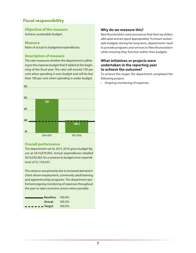### Fiscal responsibility

#### **Objective of the measure**

Achieve sustainable budget.

#### **Measure**

Ratio of actual to budgeted expenditures.

#### **Description of measure**

The ratio measures whether the department is adhering to the expense budget that it tabled at the beginning of the fiscal year. The ratio will exceed 100 per cent when spending is over-budget and will be less than 100 per cent when spending is under-budget.



#### **Overall performance**

The department set its 2015-2016 gross budget figure at \$614,879,950. Actual expenditures totalled \$616,030,383, for a variance to budget (over-expenditure) of \$1,150,433.

The variance was primarily due to increased demand in client-driven employment, community adult learning and apprenticeship programs. The department performed ongoing monitoring of expenses throughout the year to take corrective action when possible.

| Baseline: 100.0%                                                                                                                                                                                                                                                                                                                                                                                                                                                                           |        |
|--------------------------------------------------------------------------------------------------------------------------------------------------------------------------------------------------------------------------------------------------------------------------------------------------------------------------------------------------------------------------------------------------------------------------------------------------------------------------------------------|--------|
| <b>Actual:</b> 100.2%                                                                                                                                                                                                                                                                                                                                                                                                                                                                      |        |
| $\blacksquare$ $\blacksquare$ $\blacksquare$ $\blacksquare$ $\blacksquare$ $\blacksquare$ $\blacksquare$ $\blacksquare$ $\blacksquare$ $\blacksquare$ $\blacksquare$ $\blacksquare$ $\blacksquare$ $\blacksquare$ $\blacksquare$ $\blacksquare$ $\blacksquare$ $\blacksquare$ $\blacksquare$ $\blacksquare$ $\blacksquare$ $\blacksquare$ $\blacksquare$ $\blacksquare$ $\blacksquare$ $\blacksquare$ $\blacksquare$ $\blacksquare$ $\blacksquare$ $\blacksquare$ $\blacksquare$ $\blacks$ | 100.0% |

#### **Why do we measure this?**

New Brunswickers want assurances that their tax dollars add value and are spent appropriately. To ensure sustainable budgets during the long-term, departments need to provide programs and services to New Brunswickers while ensuring they function within their budgets.

#### **What initiatives or projects were undertaken in the reporting year to achieve the outcome?**

To achieve this target, the department completed the following project:

• Ongoing monitoring of expenses.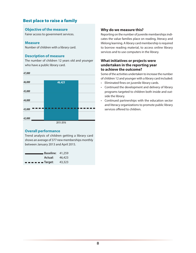### Best place to raise a family

#### **Objective of the measure**

Fairer access to government services.

#### **Measure**

Number of children with a library card.

#### **Description of measure**

The number of children 12 years old and younger who have a public library card.





#### **Overall performance**

Trend analysis of children getting a library card shows an average of 377 new memberships monthly between January 2013 and April 2015.

| <b>Baseline</b> : 41,259 <b>Baseline</b>                                                                                                                                                                                                                                                                                                                                                                                                                                                   |        |
|--------------------------------------------------------------------------------------------------------------------------------------------------------------------------------------------------------------------------------------------------------------------------------------------------------------------------------------------------------------------------------------------------------------------------------------------------------------------------------------------|--------|
| <b>Actual:</b> 46,423                                                                                                                                                                                                                                                                                                                                                                                                                                                                      |        |
| $\blacksquare$ $\blacksquare$ $\blacksquare$ $\blacksquare$ $\blacksquare$ $\blacksquare$ $\blacksquare$ $\blacksquare$ $\blacksquare$ $\blacksquare$ $\blacksquare$ $\blacksquare$ $\blacksquare$ $\blacksquare$ $\blacksquare$ $\blacksquare$ $\blacksquare$ $\blacksquare$ $\blacksquare$ $\blacksquare$ $\blacksquare$ $\blacksquare$ $\blacksquare$ $\blacksquare$ $\blacksquare$ $\blacksquare$ $\blacksquare$ $\blacksquare$ $\blacksquare$ $\blacksquare$ $\blacksquare$ $\blacks$ | 43,323 |

#### **Why do we measure this?**

Reporting on the number of juvenile memberships indicates the value families place on reading, literacy and lifelong learning. A library card membership is required to borrow reading material, to access online library services and to use computers in the library.

#### **What initiatives or projects were undertaken in the reporting year to achieve the outcome?**

Some of the activities undertaken to increase the number of children 12 and younger with a library card included:

- Eliminated fines on juvenile library cards.
- Continued the development and delivery of library programs targeted to children both inside and outside the library.
- Continued partnerships with the education sector and literacy organizations to promote public library services offered to children.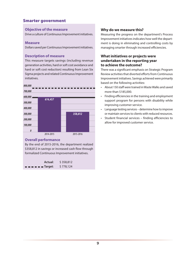### Smarter government

#### **Objective of the measure**

Drive a culture of Continuous Improvement initiatives.

#### **Measure**

Dollars saved per Continuous Improvement initiatives.

#### **Description of measure**

This measure targets savings (including revenue generation activities, hard or soft cost avoidance and hard or soft cost reduction) resulting from Lean Six Sigma projects and related Continuous Improvement initiatives.



#### **Overall performance**

By the end of 2015-2016, the department realized \$358,812 in savings or increased cash flow through formalized Continuous Improvement initiatives.

| Actual:                                                                                                                                                                                                                                                                                                                                                                                                                                                                                    | \$358,812 |
|--------------------------------------------------------------------------------------------------------------------------------------------------------------------------------------------------------------------------------------------------------------------------------------------------------------------------------------------------------------------------------------------------------------------------------------------------------------------------------------------|-----------|
| $\blacksquare$ $\blacksquare$ $\blacksquare$ $\blacksquare$ $\blacksquare$ $\blacksquare$ $\blacksquare$ $\blacksquare$ $\blacksquare$ $\blacksquare$ $\blacksquare$ $\blacksquare$ $\blacksquare$ $\blacksquare$ $\blacksquare$ $\blacksquare$ $\blacksquare$ $\blacksquare$ $\blacksquare$ $\blacksquare$ $\blacksquare$ $\blacksquare$ $\blacksquare$ $\blacksquare$ $\blacksquare$ $\blacksquare$ $\blacksquare$ $\blacksquare$ $\blacksquare$ $\blacksquare$ $\blacksquare$ $\blacks$ | \$778,124 |

#### **Why do we measure this?**

Measuring the progress on the department's Process Improvement initiatives indicates how well the department is doing in eliminating and controlling costs by managing smarter through increased efficiencies.

#### **What initiatives or projects were undertaken in the reporting year to achieve the outcome?**

There was a significant emphasis on Strategic Program Review activities that diverted efforts from Continuous Improvement initiatives. Savings achieved were primarily based on the following activities:

- About 150 staff were trained in Waste Walks and saved more than \$185,000.
- Finding efficiencies in the training and employment support program for persons with disability while improving customer service.
- Language testing services determine how to improve or maintain services to clients with reduced resources.
- Student financial services finding efficiencies to allow for improved customer service.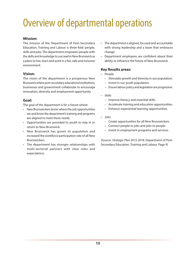# <span id="page-15-0"></span>Overview of departmental operations

#### **Mission:**

The mission of the Department of Post-Secondary Education, Training and Labour is three-fold: people, skills and jobs. The department empowers people with the skills and knowledge to succeed in New Brunswick as a place to live, learn and work in a fair, safe and inclusive environment.

#### **Vision:**

The vision of the department is a prosperous New Brunswick where post-secondary educational institutions, businesses and government collaborate to encourage innovation, diversity and employment opportunity.

### **Goal:**

The goal of the department is for a future where:

- New Brunswickers know where the job opportunities are and know the department's training and programs are aligned to meet these needs.
- Opportunities are provided to youth to stay in or return to New Brunswick.
- New Brunswick has grown its population and increased the workforce participation rate of all New Brunswickers.
- The department has stronger relationships with multi-sectorial partners with clear roles and expectations.
- The department is aligned, focused and accountable with strong leadership and a team that embraces change.
- Department employees are confident about their ability to influence the future of New Brunswick.

#### **Key Results areas:**

- People
	- Stimulate growth and diversity in our population.
	- Invest in our youth population.
	- Ensure labour policy and legislation are progressive.
- Skills
	- Improve literacy and essential skills.
	- Accelerate training and education opportunities.
	- Enhance experiential learning opportunities.
- Jobs
	- Create opportunities for all New Brunswickers.
	- Connect people to jobs and jobs to people.
	- Invest in employment programs and services.

(Source: *Strategic Plan 2015-2018*, Department of Post-Secondary Education, Training and Labour, Page 9)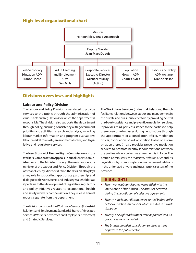## High-level organizational chart



### Divisions overviews and highlights

#### **Labour and Policy Division**

The **Labour and Policy Division** is mandated to provide services to the public through the administration of various acts and regulations for which the department is responsible. The division also supports the department through policy, ensuring consistency with government priorities and activities; research and analysis, including labour market information and program evaluations; labour market forecasts; environmental scans; and legislative and regulatory services.

The **New Brunswick Human Rights Commission** and the **Workers' Compensation Appeals Tribunal** reports administratively to the Minister through the assistant deputy minister of the Labour and Policy Division. Through the Assistant Deputy Minister's Office, the division also plays a key role in supporting appropriate partnership and dialogue with WorkSafeNB and industry stakeholders as it pertains to the development of legislative, regulatory and policy initiatives related to occupational health and safety workers' compensation. They release annual reports separate from the department.

The division consists of the Workplace Services (Industrial Relations and Employment Standards) Branch, Advocates' Services (Workers' Advocates and Employers' Advocates) and Strategic Services.

The **Workplace Services (Industrial Relations) Branch** facilitates relations between labour and management in the private and quasi-public sectors by providing neutral third-party assistance and preventive mediation services. It provides third-party assistance to the parties to help them overcome impasses during negotiations through the appointment of a conciliation officer, mediation officer, conciliation board, arbitration board or a combination thereof. It also provides preventive mediation services to promote healthy labour relations between the parties while a collective agreement is in force. The branch administers the *Industrial Relations Act* and its regulations by promoting labour management relations in the unionized private and quasi-public sectors of the province.

#### **HIGHLIGHTS**

- *Twenty-one labour disputes were settled with the intervention of the branch. The disputes occurred during the negotiation of collective agreements.*
- *Twenty-nine labour disputes were settled before strike or lockout action, and one of which resulted in a work stoppage.*
- *Twenty-one rights arbitrators were appointed and 33 grievances were mediated.*
- *The branch provided conciliation services in three disputes in the public sector.*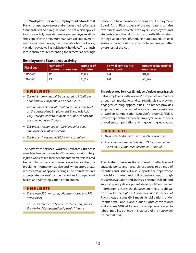The **Workplace Services (Employment Standards) Branch** promotes, oversees and enforces the *Employment Standards Act* and its regulations. The Act, which applies to all provincially regulated employee-employer relationships, specifies the minimum standards of employment, such as minimum wage, overtime rates, hours of work, vacation pay as well as paid public holidays. The branch is responsible for representing the director at hearings before the New Brunswick Labour and Employment Board. A significant piece of the mandate is to raise awareness and educate employers, employees and students about their rights and responsibilities vis-à-vis the legislation. The staff conducts numerous educational sessions throughout the province to encourage better awareness of the Act.

| Fiscal year | Number of<br>information sessions | Number of<br><i>inquiries</i> | <b>Formal complaints</b><br>investigated | Moneys recovered for<br>employees |
|-------------|-----------------------------------|-------------------------------|------------------------------------------|-----------------------------------|
| 2015-2016   |                                   | 12,984                        | 903                                      | \$829,783                         |
| 2014-2015   | 130                               | 13,595                        | 803                                      | \$533,446                         |

#### **Employment Standards activity**

#### **HIGHLIGHTS**

- *The minimum wage will be increased to \$10.65 per hour from \$10.30 per hour on April 1, 2016.*
- *Two-hundred eleven information sessions were held on the basics of the* Employment Standards Act*. They were provided to students in public schools and post-secondary institutions.*
- *The branch responded to 12,984 inquiries about employment-related concerns.*
- *The branch investigated 903 formal complaints.*

The **Advocates Services (Workers' Advocates) Branch** is mandated under the *Workers' Compensation Act* to help injured workers and their dependants on matters related to claims for workers' compensation. Advocates help by providing information, advice and, when appropriate, representation at appeal hearings. The branch ensures appropriate workers' compensation and occupational health and safety legislation enforcement.

#### **HIGHLIGHTS**

- *There were 556 new cases, 406 cases closed and 740 active cases.*
- *Advocates represented clients at 158 hearings before the Workers' Compensation Appeals Tribunal.*

The **Advocates Services (Employers' Advocates) Branch** helps employers with workers' compensation matters through communication and consultation, it also provides engaged learning opportunities. The branch provides employers with specialized advice and representation on workers' compensation issues before WorkSafeNB. It provides specialized advice to employers on all aspects of workers' compensation and its governing legislation.

#### **HIGHLIGHTS**

- *There were 654 active cases and 292 closed cases.*
- *Advocates represented clients at 77 hearings before the Workers' Compensation Appeals Tribunal.*

The **Strategic Services Branch** develops effective and strategic policy and research responses to a range of priorities and issues. It also supports the department in decision-making and policy development through research, evaluation and analysis. The branch leads and supports policy development; develops labour market information; ensures the department meets its obligations under the *Right to Information and Protection of Privacy Act*; ensures GNB meets its obligations under international labour and human rights conventions; and ensures GNB addresses the obligations related to labour mobility outlined in chapter 7 of the *Agreement on Internal Trade*.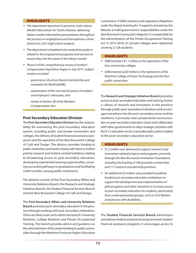#### **HIGHLIGHTS**

- *The department launched its province-wide Labour Market Information for Youth initiative, delivering labour market information presentations throughout the province in anglophone and francophone school districts to 2,021 high school students.*
- *The department completed nine evaluation projects related to the employment programs and services to ensure they met the needs of the labour market.*
- *Phase II of the comprehensive review of workers' compensation legislation began in July 2015. Subject matters included:*
	- *– governance structure (board membership and mandates for WorkSafeNB);*
	- *– examination of the role and functions of workers' and employers' advocates; and*
	- *– review of section 38 of the* Workers' Compensation Act*.*

#### **Post-Secondary Education Division**

The **Post-Secondary Education Division** has the responsibility for overseeing the post-secondary education system, including public and private universities and colleges, the delivery of student financial assistance programs and the operation of the New Brunswick College of Craft and Design. The division provides funding to public institutions and works closely with them to further priority research and student-centred initiatives relating to broadening access to post-secondary education, developing experiential learning opportunities, ensuring successful pathways to graduations and facilitating credit transfers among public institutions.

The division consists of the Post-Secondary Affairs and University Relations Branch, the Research and Strategic Initiatives Branch, the Student Financial Services Branch and the New Brunswick College of Craft and Design.

The **Post-Secondary Affairs and University Relations Branch** promotes post-secondary education in the province through working with post-secondary institutions. There are three main units within the branch: University Relations, College Relations and Private Occupational Training. The branch provides advice and guidance on the administration of the yearly funding to public universities through the Maritime Provinces Higher Education

Commission. It fulfils statutory and regulatory obligations under the *Degree Granting Act*. It supports and advises the Minister to fulfil government's responsibilities under the *New Brunswick Community College Act*. It is responsible for the administration of the *Private Occupational Training Act*. In 2015-2016, 47 private colleges were registered, covering 3,128 students.

#### **HIGHLIGHTS**

- *GNB invested \$91.1 million in the operations of the two community colleges.*
- *GNB invested \$220 million in the operations of the Maritime College of Forest Technology and the four public universities.*

The **Research and Strategic Initiatives Branch** promotes access to post-secondary education and training, fosters a culture of research and innovation in the province through public post-secondary institutions and encourages transitions into the post-secondary sector and the workforce. It promotes inter-jurisdictional communication on post-secondary education issues and collaborates with other governments to align strategic priorities with the K-12 education sector. It provides policy advice related to the post-secondary education sector.

#### **HIGHLIGHTS**

- *\$7.2 million was delivered to support research and innovation-related projects and programs, primarily through the New Brunswick Innovation Foundation, including the funding of 188 graduate scholarships and 111 research assistantship positions.*
- *An additional \$3 million was provided to publicly funded post-secondary education institutions to support the development and implementation of pilot programs and other initiatives to increase access to post-secondary education for students, particularly from underrepresented groups, such as First Nations and persons with disabilities.*

The **Student Financial Services Branch** administers and delivers federal and provincial government student financial assistance programs. It encourages access to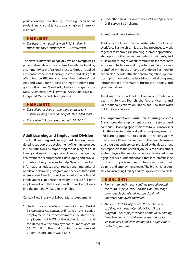post-secondary education by providing needs-based student financial assistance to qualifying New Brunswick residents.

#### HIGHLIGHT

 *The department administered \$153.8 million in student financial assistance to 12,720 students.*

The **New Brunswick College of Craft and Design** has a provincial mandate to be a centre of excellence, building a community of professional practice through applied and entrepreneurial learning in craft and design. It offers two certificate programs (Foundation Visual Arts and Graduate Studies) and eight diploma programs (Aboriginal Visual Arts, Fashion Design, Textile Design, Ceramics, Jewellery/Metal Arts, Graphic Design, Integrated Media and Photography).

#### **HIGHLIGHTS**

- *The college received an operating grant of \$3.1 million, yielding a seat capacity of 282 funded seats.*
- *There were 118 college graduates in 2015-2016.*

#### **Adult Learning and Employment Division**

The **Adult Learning and Employment Division** is mandated to support the development of human resources in New Brunswick by supporting the delivery of adult literacy and learning programs and services; recognizing achievement of competencies; developing and providing public library services to help New Brunswickers' informational, educational, recreational and cultural needs; and delivering programs and services that assist unemployed New Brunswickers acquire the skills and employment experience necessary to secure full-time employment, and that assist New Brunswick employers find the right individuals for their jobs.

Canada-New Brunswick Labour Market Agreements

**1.** Under the *Canada-New Brunswick Labour Market Development Agreement*, GNB served 10,411 active employment insurance claimants, facilitated the employment of 8,179 of the active claimants and facilitated save the employment insurance account \$31.02 million. The total number of clients served under the agreement was 14,815.

**2.** Under the *Canada-New Brunswick Job Fund Agreement*, GNB served 3,821 clients.

#### Atlantic Workforce Partnership

The Council of Atlantic Premiers established the Atlantic Workforce Partnership. It is enabling provinces to work together to improve skills training, promote apprenticeship opportunities, recruit and retain immigrants, and build on the strengths of our communities to meet new economic challenges and opportunities. Priority areas identified within the Atlantic Workforce Partnership action plan include: attraction and immigration; apprenticeship harmonization; federal labour market programs; labour market information; business supports; and youth initiatives.

The division consists of the Employment and Continuous Learning Services Branch, the Apprenticeship and Occupational Certification Branch and New Brunswick Public Library Services.

The **Employment and Continuous Learning Services Branch** provides employment programs, services and continuous learning opportunities to New Brunswickers with the vision to strategically align programs, resources and learning opportunities so that they consistently meet clients' labour market needs. The branch ensures that programs and services provided by the department are responsive to the needs of job seekers, adult learners and employers, that new initiatives are developed when a gap in service is identified; and that local staff has the tools and supports required to help clients with their training and employment needs. The branch is responsible for increasing literacy and workplace essential skills.

#### **HIGHLIGHTS**

- *Momentum and interest continue to build around the Youth Employment Fund and One-Job Pledge programs. Regional staff worked closely with interested employers and youth.*
- *The 2015-2016 fiscal year was the first full year of delivery of the new Canada-NB Job Grant program. The Employment and Continuous Learning Branch regional staff delivered presentations to stakeholders. Employers submitted 617 applications under the program.*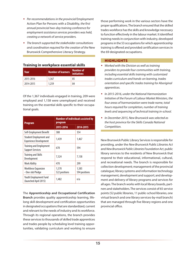- *Per recommendations in the provincial* Employment Action Plan for Persons with a Disability*, the first annual provincial two-day training conference for employment assistance services providers was held, creating a network of service providers.*
- *The branch supported the stakeholder consultations and coordination required for the creation of the* New Brunswick Comprehensive Literacy Strategy*.*

#### **Training in workplace essential skills**

| Year      | Number of learners | Number of<br><b>initiatives</b> |
|-----------|--------------------|---------------------------------|
| 2015-2016 | 1,367              | 85                              |
| 2014-2015 | 1.259              | 84                              |

Of the 1,367 individuals engaged in training, 209 were employed and 1,158 were unemployed and received training on the essential skills specific to their occupational goals.

| <b>Program</b>                                                 | <b>Number of individuals assisted by</b><br>program |                        |  |
|----------------------------------------------------------------|-----------------------------------------------------|------------------------|--|
|                                                                | 2015-2016                                           | 2014-2015              |  |
| Self-Employment Benefit                                        | 388                                                 | 354                    |  |
| <b>Student Employment and</b><br><b>Experience Development</b> | 1,439                                               | 1,467                  |  |
| <b>Training and Employment</b><br><b>Support Services</b>      | 678                                                 | 594                    |  |
| <b>Training and Skills</b><br>Development                      | 7.324                                               | 7,138                  |  |
| <b>Work Ability</b>                                            | 470                                                 | 299                    |  |
| <b>Workforce Expansion</b><br>- One-Job Pledge                 | 1,570<br>522 positions                              | 1,585<br>594 positions |  |
| Youth Employment Fund<br>(launched April 2015)                 | 1,482                                               | n/a                    |  |

The **Apprenticeship and Occupational Certification Branch** provides quality apprenticeship learning, lifelong skill development and certification opportunities in designated occupations that are standardized, current and relevant to the needs of industry and its workforce. Through its regional operations, the branch provides these services to thousands of skilled trade apprentices and trades people by scheduling level training opportunities, validating curriculum and working to ensure

those performing work in the various sectors have the proper qualifications. The branch ensured that the skilled trades workforce has the skills and knowledge necessary to function effectively in the labour market. It identified training needs in conjunction with industry, developed programs in the 53 occupations for which apprenticeship training is offered and provided certification services in the 69 designated occupations.

#### **HIGHLIGHTS**

- *Worked with the Division as well as training providers to provide four communities with training, including essential skills training with customized trades curriculum and hands-on learning, trades orientation and specific trades training for Aboriginal apprentices.*
- *In 2015-2016, under the National Harmonization Initiative of the Forum of Labour Market Ministers, the four areas of harmonization were trade name, total hours required for completion, number of training levels and sequencing of technical training in-school.*
- *In December 2015, New Brunswick was selected as the host province for the Skills Canada National Competition.*

New Brunswick Public Library Services is responsible for providing, under the *New Brunswick Public Libraries Act* and *New Brunswick Public Libraries Foundation Act*, public library services to the residents of New Brunswick that respond to their educational, informational, cultural, and recreational needs. The branch is responsible for collection development; management of the provincial catalogue; library systems and information technology management, development and support; and development and delivery of library programs and services for all ages. The branch works with local library boards, partners and stakeholders. The services consist of 65 service points (52 public libraries, 11 public-school libraries, one virtual branch and one library services-by-mail branch) that are managed through five library regions and one provincial office.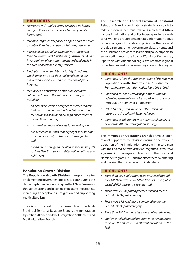#### **HIGHLIGHTS**

- *New Brunswick Public Library Services is no longer charging fines for items checked out on juvenile library cards.*
- *It revised its provincial policy on open hours to ensure all public libraries are open on Saturday, year- round.*
- *It received the Canadian National Institute for the Blind New Brunswick Outstanding Partnership Award in recognition of our commitment and leadership in the area of accessible library services.*
- *It adopted the revised Library Facility Standards, which offers an up-to-date tool for planning the renovation, expansion and construction of public libraries.*
- *It launched a new version of the public libraries catalogue. Some of the enhancements for patrons included:*
	- *– an accessible version designed for screen readers that can also serve as a low bandwidth version for patrons that do not have high-speed Internet connections at home;*
	- *– a more direct mode of access for renewing loans;*
	- *– pre-set search buttons that highlight specific types of resources to help patrons find items quicker; and*
	- *– the addition of pages dedicated to specific subjects such as New Brunswick and Canadian authors and publishers.*

#### **Population Growth Division**

The **Population Growth Division** is responsible for implementing government policies to contribute to the demographic and economic growth of New Brunswick through attracting and retaining immigrants, repatriating, increasing francophone immigration and supporting multiculturalism.

The division consists of the Research and Federal-Provincial-Territorial Relations Branch, the Immigration Operations Branch and the Immigration Settlement and Multiculturalism Branch.

The **Research and Federal-Provincial-Territorial Relations Branch** coordinates a strategic approach to federal-provincial-territorial relations; represents GNB on various immigration and policy federal-provincial-territorial working groups; disseminates information about population growth trends and policy to other areas of the department, other government departments, and the public; and provides research and policy support to senior staff. Through the Atlantic Workforce Partnership, it partners with Atlantic colleagues to promote regional opportunities and increase immigration to this region.

#### **HIGHLIGHTS**

- *Continued to lead the implementation of the renewed*  Population Growth Strategy, 2014–2017 *and the Francophone Immigration Action Plan, 2014–2017.*
- *Continued to lead bilateral negotiations with the federal government on the* Canada-New Brunswick Immigration Framework Agreement*.*
- *Helped develop and implement the provincial response to the influx of Syrian refugees.*
- *Continued collaboration with Atlantic colleagues to develop an Atlantic immigration strategy.*

The **Immigration Operations Branch** provides operational support to the division ensuring the efficient operation of the immigration program in accordance with the *Canada-New Brunswick Immigration Framework Agreement*. It manages applications to the Provincial Nominee Program (PNP) and monitors them by entering and tracking them in an electronic database.

#### **HIGHLIGHTS**

- *More than 900 applications were processed through the PNP. There were 774 PNP certificates issued, which included 625 base and 149 enhanced.*
- *There were 201 deposit agreements issued for the Refundable Deposit category.*
- *There were 372 validations completed under the Refundable Deposit category.*
- *More than 500 language tests were validated online.*
- *Implemented additional program integrity measures to ensure the effective and efficient operations of the PNP.*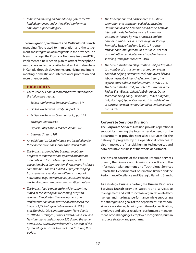*Initiated a tracking and monitoring system for PNP landed nominees under the skilled worker with employer support category.*

The **Immigration, Settlement and Multicultural Branch** managing files related to immigration and the settlement and integration of immigrants in the province. The branch manages the Provincial Nominee Program (PNP), implements a new action plan to attract francophone newcomers and attracts skilled workers living elsewhere in Canada through developing, organizing and implementing domestic and international promotion and recruitment events.

#### **HIGHLIGHTS**

- *There were 774 nomination certificates issued under the following streams:*
	- *– Skilled Worker with Employer Support: 314*
	- *– Skilled Worker with Family Support: 14*
	- *– Skilled Worker with Community Support: 18*
	- *– Strategic Initiative: 68*
	- *– Express Entry Labour Market Stream: 161*
	- *– Business Stream: 199*
- *An additional 1,302 individuals are included under these nominations as spouses and dependants.*
- *The branch expanded the business incubator program to a new location, updated orientation materials, and focused on supporting public education about immigration, diversity and inclusive communities. The unit funded 53 projects ranging from settlement services for different groups of newcomers (e.g., entrepreneurs, youth, and skilled workers) to programs promoting multiculturalism.*
- *The branch lead a multi-stakeholder committee aimed at facilitating the welcoming of Syrian refugees. It facilitated the development and implementation of the provincial response to the influx of 1,225 refugees between Nov. 4, 2015, and March 31, 2016. In comparison, Nova Scotia resettled 833 refugees, Prince Edward Island 197 and Newfoundland and Labrador 230 during the same period. New Brunswick welcomed 49 per cent of the Syrian refugees across Atlantic Canada during that period.*
- *The francophone unit participated in multiple promotion and attraction activities, including Destination Acadie, Semaine canadienne, Festival interceltique de Lorient as well as information sessions co-hosted by New Brunswick and the Canadian embassies in France, Belgium, Portugal, Romania, Switzerland and Spain to increase francophone immigration. As a result, 20 per cent of nomination certificates were issued to Frenchspeaking immigrants in 2015-2016.*
- *The Skilled Worker and Repatriation unit participated in a number of attraction and promotion events aimed at helping New Brunswick employers fill their labour needs. GNB launched a new stream, the Express Entry Labour Market Stream, in May 2015. The Skilled Worker Unit promoted this stream in the Middle East (Egypt, United Arab Emirates, Qatar, Morocco), Hong Kong, Philippines, United Kingdom, Italy, Portugal, Spain, Croatia, Austria and Belgium in partnership with various Canadian embassies and consulates.*

#### **Corporate Services Division**

The **Corporate Services Division** provides operational support by meeting the internal service needs of the department. It provides specialized services for the delivery of programs by the operational branches. It also manages the financial, human, technological, and administrative business of the whole department.

The division consists of the Human Resource Services Branch, the Finance and Administration Branch, the Information Management and Technology Services Branch, the Departmental Coordination Branch and the Performance Excellence and Strategic Planning Branch.

As a strategic business partner, the **Human Resources Services Branch** provides support and services to management and staff to increase organizational effectiveness and maximize performance while supporting the strategies and goals of the department. It is responsible for workforce planning, recruitment, classification, employee and labour relations, performance management, official languages, employee recognition, human resource strategy and programs.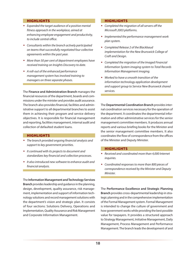#### **HIGHLIGHTS**

- *Expanded the target audience of a positive mental fitness approach in the workplace, aimed at enhancing employee engagement and productivity, to include central office.*
- *Consultants within the branch actively participated on teams that successfully negotiated four collective agreements within the past year.*
- *More than 50 per cent of department employees have received training on Insights Discovery to date.*
- *A roll-out of the enhanced performance management system has involved training to managers on three separate phases.*

The **Finance and Administration Branch** manages the financial resources of the department, boards and commissions under the minister and provides audit assurance. The branch also provides financial, facilities and administrative support to all departmental branches to assist them in achieving their program and service delivery objectives. It is responsible for financial management and reporting, facilities management, internal audit and collection of defaulted student loans.

#### **HIGHLIGHTS**

- *The branch provided ongoing financial analysis and support to key government priorities.*
- *It continued with its projects to document and standardizes key financial and collection processes.*
- *It also introduced new software to enhance audit and financial analysis.*

The **Information Management and Technology Services Branch** provides leadership and guidance in the planning, design, development, quality assurance, risk management, implementation and support of information technology solutions and record management solutions with the department's vision and strategic plan. It consists of four sections: Solutions Delivery, Operations and Implementation, Quality Assurance and Risk Management and Corporate Information Management.

#### **HIGHLIGHTS**

- *Completed the migration of all servers off the Microsoft 2003 platforms.*
- *Implemented the performance management work plan system.*
- *Completed Release 2 of the Blackbaud implementation for the New Brunswick College of Craft and Design.*
- *Completed the migration of the Imaged Financial Information System imaging system to Total Records Information Management imaging.*
- *Worked to have a smooth transition of the information technology application development and support group to Service New Brunswick shared services.*

The **Departmental Coordination Branch** provides internal coordination services necessary for the operation of the department. It coordinates the departmental information and other administrative services for the senior management committee members. It produces annual reports and various briefing books for the Minister and the senior management committee members. It also coordinates the flow of correspondence from the offices of the Minister and Deputy Minister.

#### **HIGHLIGHTS**

- *Received and coordinated more than 4,000 Internet inquiries.*
- *Coordinated responses to more than 800 pieces of correspondence received by the Minister and Deputy Minister.*

The **Performance Excellence and Strategic Planning Branch** provides cross-departmental leadership in strategic planning and in the comprehensive implementation of the Formal Management system. Formal Management is intended to change the culture of government and how government works while providing the best possible value for taxpayers. It provides a structured approach to Strategy Management, Initiative Management, Daily Management, Process Management and Performance Management. The branch leads the development of and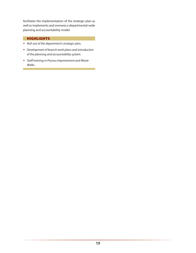facilitates the implementation of the strategic plan as well as implements and oversees a departmental-wide planning and accountability model.

#### **HIGHLIGHTS**

- *Roll-out of the department's strategic plan.*
- *Development of branch work plans and introduction of the planning and accountability system.*
- *Staff training in Process Improvement and Waste Walks.*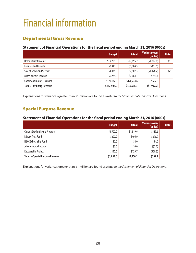# <span id="page-25-0"></span>Financial information

### Departmental Gross Revenue

#### **Statement of Financial Operations for the fiscal period ending March 31, 2016 (000s)**

|                                  | <b>Budget</b> | <b>Actual</b> | Variance over/<br>(under) | <b>Notes</b> |
|----------------------------------|---------------|---------------|---------------------------|--------------|
| Other Interest Income            | \$19,708.0    | \$17,895.2    | (51, 812.8)               | (1)          |
| Licenses and Permits             | \$2,348.0     | \$1,984.5     | (5363.5)                  |              |
| Sale of Goods and Services       | \$4,036.0     | \$2,907.3     | (51, 128.7)               | (2)          |
| Miscellaneous Revenue            | \$6,275.0     | \$7,064.7     | \$789.7                   |              |
| Conditional Grants - Canada      | \$120,137.0   | \$120,744.6   | \$607.6                   |              |
| <b>Totals - Ordinary Revenue</b> | \$152,504.0   | \$150,596.3   | (51, 907.7)               |              |

Explanations for variances greater than \$1 million are found as *Notes to the Statement of Financial Operations*.

### Special Purpose Revenue

#### **Statement of Financial Operations for the fiscal period ending March 31, 2016 (000s)**

|                                         | <b>Budget</b> | <b>Actual</b> | Variance over/<br>(under) | <b>Notes</b> |
|-----------------------------------------|---------------|---------------|---------------------------|--------------|
| Canada Student Loans Program            | \$1,500.0     | \$1,819.6     | \$319.6                   |              |
| Library Trust Fund                      | \$200.0       | \$496.9       | \$296.9                   |              |
| NBCC Scholarship Fund                   | \$0.0\$       | \$4.0         | \$4.0                     |              |
| Johann Wordel Account                   | \$3.0         | \$0.0\$       | (53.0)                    |              |
| Recoverable Projects                    | \$150.0       | \$129.7       | (520.3)                   |              |
| <b>Totals - Special Purpose Revenue</b> | \$1,853.0     | \$2,450.2     | \$597.2                   |              |

Explanations for variances greater than \$1 million are found as *Notes to the Statement of Financial Operations*.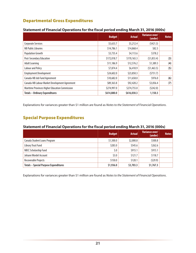## Departmental Gross Expenditures

|                                                | <b>Budget</b> | <b>Actual</b> | Variance over/<br>(under) | <b>Notes</b> |
|------------------------------------------------|---------------|---------------|---------------------------|--------------|
| <b>Corporate Services</b>                      | \$5,633.7     | \$5,212.4     | (5421.3)                  |              |
| NB Public Libraries                            | \$14,786.1    | \$14,868.4    | \$82.3                    |              |
| <b>Population Growth</b>                       | \$3,735.4     | \$4,113.6     | \$378.2                   |              |
| Post-Secondary Education                       | \$172,018.7   | \$170,165.3   | (51, 853.4)               | (3)          |
| <b>Adult Learning</b>                          | \$11,186.9    | \$12,576.2    | \$1,389.3                 | (4)          |
| <b>Labour and Policy</b>                       | \$7,874.4     | \$6,410.9     | (51, 463.5)               | (5)          |
| <b>Employment Development</b>                  | \$24,602.0    | \$23,850.3    | (5751.7)                  |              |
| Canada-NB Job Fund Agreement                   | \$10,682.0    | \$11,658.0    | \$976.0                   | (6)          |
| Canada-NB Labour Market Development Agreement  | \$89,363.8    | \$92,420.2    | \$3,056.4                 | (7)          |
| Maritime Provinces Higher Education Commission | \$274,997.0   | \$274,755.0   | (5242.0)                  |              |
| <b>Totals - Ordinary Expenditures</b>          | \$614,880.0   | \$616,030.3   | 1,150.3                   |              |

#### **Statement of Financial Operations for the fiscal period ending March 31, 2016 (000s)**

Explanations for variances greater than \$1 million are found as *Notes to the Statement of Financial Operations*.

## Special Purpose Expenditures

#### **Statement of Financial Operations for the fiscal period ending March 31, 2016 (000s)**

|                                              | <b>Budget</b> | <b>Actual</b> | Variance over/<br>(under) | <b>Notes</b> |
|----------------------------------------------|---------------|---------------|---------------------------|--------------|
| Canada Student Loans Program                 | \$1,500.0     | \$2,000.8     | \$500.8                   |              |
| Library Trust Fund                           | \$283.0       | \$545.6       | \$262.6                   |              |
| NBCC Scholarship Fund                        | \$.0          | \$915.1       | \$915.1                   |              |
| Johann Wordel Account                        | \$3.0         | \$121.7       | \$118.7                   |              |
| Recoverable Projects                         | \$150.0       | \$120.1       | (529.9)                   |              |
| <b>Totals - Special Purpose Expenditures</b> | \$1,936.0     | \$3,703.3     | \$1,767.3                 |              |

Explanations for variances greater than \$1 million are found as *Notes to the Statement of Financial Operations*.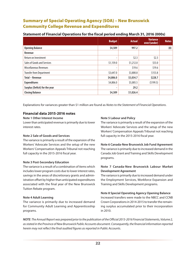## Summary of Special Operating Agency (SOA) – New Brunswick Community College Revenue and Expenditures

|                                 | <b>Budget</b> | <b>Actual</b> | <b>Variance</b><br>over/(under) | <b>Notes</b> |
|---------------------------------|---------------|---------------|---------------------------------|--------------|
| <b>Opening Balance</b>          | \$4,509       | 997.2         |                                 | (8)          |
| Revenue                         |               |               |                                 |              |
| Return on Investment            | ٠             | \$2.3         | \$2.3\$                         |              |
| Sales of Goods and Services     | \$1,159.0     | \$1,212.0     | \$53.0                          |              |
| <b>Miscellaneous Revenues</b>   | ٠             | \$19.6        | \$19.6                          |              |
| <b>Transfer from Department</b> | \$3,647.0     | \$3,800.8     | \$153.8                         |              |
| <b>Total - Revenue</b>          | \$4,806.0     | \$5,034.7     | \$228.7                         |              |
| <b>Expenditures</b>             | \$4,806.0     | \$5,005.5     | (5199.5)                        |              |
| Surplus (Deficit) for the year  | ٠             | 29.2          |                                 |              |
| <b>Closing Balance</b>          | \$4,509       | \$1,026.4     |                                 |              |

#### **Statement of Financial Operations for the fiscal period ending March 31, 2016 (000s)**

Explanations for variances greater than \$1 million are found as *Notes to the Statement of Financial Operations*.

#### **Financial data 2015-2016 notes**

#### **Note 1 Other Interest Income**

Lower than anticipated revenue is primarily due to lower interest rates.

#### **Note 2 Sale of Goods and Services**

The variance is primarily a result of the expansion of the Workers' Advocate Services and the setup of the new Workers' Compensation Appeals Tribunal not reaching full capacity in the 2015-2016 fiscal year.

#### **Note 3 Post-Secondary Education**

The variance is a result of a combination of items which includes lower program costs due to lower interest rates, savings in the areas of discretionary grants and administration offset by higher than anticipated expenditures associated with the final year of the New Brunswick Tuition Rebate program.

#### **Note 4 Adult Learning**

The variance is primarily due to increased demand for Community Adult Learning and Apprenticeship programs.

#### **Note 5 Labour and Policy**

The variance is primarily a result of the expansion of the Workers' Advocate Services and the setup of the new Workers' Compensation Appeals Tribunal not reaching full capacity in the 2015-2016 fiscal year.

**Note 6 Canada-New Brunswick Job Fund Agreement** The variance is primarily due to increased demand in the Canada Job Grant and Training and Skills Development programs.

#### **Note 7 Canada-New Brunswick Labour Market Development Agreement**

The variance is primarily due to increased demand under the Employment Services, Workforce Expansion and Training and Skills Development programs.

#### **Note 8 Special Operating Agency Opening Balance**

Increased transfers were made to the NBCC and CCNB Crown Corporations in 2014-2015 to transfer the remaining surplus accumulated prior to their incorporation in 2010.

*NOTE*: *The Annual Report was prepared prior to the publication of the Official 2015-2016 Financial Statements, Volume 2, as stated in the Province of New Brunswick Public Accounts document. Consequently, the financial information reported herein may not reflect the final audited figures as reported in Public Accounts*.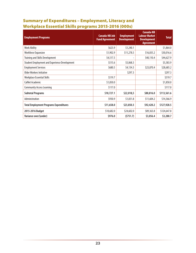# Summary of Expenditures – Employment, Literacy and Workplace Essential Skills programs 2015-2016 (000s)

| <b>Employment Programs</b>                           | <b>Canada-NB Job</b><br><b>Fund Agreement</b> | <b>Employment</b><br><b>Development</b> | Canada-NB<br><b>Labour Market</b><br><b>Development</b><br><b>Agreement</b> | <b>Total</b> |
|------------------------------------------------------|-----------------------------------------------|-----------------------------------------|-----------------------------------------------------------------------------|--------------|
| <b>Work Ability</b>                                  | \$623.9                                       | \$1,240.1                               |                                                                             | \$1,864.0    |
| <b>Workforce Expansion</b>                           | \$1,902.9                                     | \$11,278.5                              | \$16,835.2                                                                  | \$30,016.6   |
| <b>Training and Skills Development</b>               | \$4,517.5                                     |                                         | \$40,110.4                                                                  | \$44,627.9   |
| <b>Student Employment and Experience Development</b> | \$515.6                                       | \$5,068.3                               |                                                                             | \$5,583.9    |
| <b>Employment Services</b>                           | \$680.5                                       | \$4,134.3                               | \$23,870.4                                                                  | \$28,685.2   |
| Older Workers Initiative                             |                                               | \$297.3                                 |                                                                             | \$297.3      |
| <b>Workplace Essential Skills</b>                    | \$519.7                                       |                                         |                                                                             | \$519.7      |
| <b>CalNet Academic</b>                               | \$1,850.0                                     |                                         |                                                                             | \$1,850.0    |
| <b>Community Access Learning</b>                     | \$117.0                                       |                                         |                                                                             | \$117.0      |
| <b>Subtotal Programs</b>                             | \$10,727.1                                    | \$22,018,5                              | \$80,816.0                                                                  | \$113,561.6  |
| Administration                                       | \$930.9                                       | \$1,831.8                               | \$11,604.2                                                                  | \$14,366.9   |
| <b>Total Employment Programs Expenditures</b>        | \$11,658.0                                    | \$23,850.3                              | \$92,420.2                                                                  | \$127,928.5  |
| 2015-2016 Budget                                     | \$10,682.0                                    | \$24,602.0                              | \$89,363.8                                                                  | \$124,647.8  |
| Variance over/(under)                                | \$976.0                                       | (5751.7)                                | \$3,056.4                                                                   | \$3,280.7    |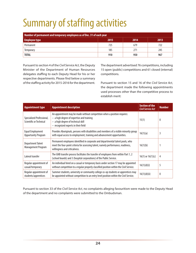# <span id="page-29-0"></span>Summary of staffing activities

| Number of permanent and temporary employees as of Dec. 31 of each year |     |     |     |  |  |
|------------------------------------------------------------------------|-----|-----|-----|--|--|
| 2013<br>2015<br>2014<br><b>Employee type</b>                           |     |     |     |  |  |
| Permanent                                                              | 725 | 679 | 722 |  |  |
| Temporary                                                              | 185 | 271 | 245 |  |  |
| <b>TOTAL</b>                                                           | 910 | 950 | 967 |  |  |

Pursuant to section 4 of the *Civil Service Act*, the Deputy Minister of the Department of Human Resources delegates staffing to each Deputy Head for his or her respective departments. Please find below a summary of the staffing activity for 2015-2016 for the department.

The department advertised 76 competitions, including 15 open (public) competitions and 61 closed (internal) competitions.

Pursuant to section 15 and 16 of the *Civil Service Act*, the department made the following appointments used processes other than the competitive process to establish merit:

| <b>Appointment type</b>                              | <b>Appointment description</b>                                                                                                                                                                       | <b>Section of the</b><br><b>Civil Service Act</b> | <b>Number</b>    |
|------------------------------------------------------|------------------------------------------------------------------------------------------------------------------------------------------------------------------------------------------------------|---------------------------------------------------|------------------|
| Specialized Professional,<br>Scientific or Technical | An appointment may be made without competition when a position requires:<br>$-$ a high degree of expertise and training<br>- a high degree of technical skill<br>- recognized experts in their field | 15(1)                                             | $\boldsymbol{0}$ |
| Equal Employment<br><b>Opportunity Program</b>       | Provides Aboriginals, persons with disabilities and members of a visible minority group<br>with equal access to employment, training and advancement opportunities.                                  | 16(1)(a)                                          | 3                |
| Department Talent<br>Management Program              | Permanent employees identified in corporate and departmental talent pools, who<br>meet the four-point criteria for assessing talent, namely performance, readiness,<br>willingness and criticalness. | 16(1)(b)                                          |                  |
| Lateral transfer                                     | The GNB transfer process facilitates the transfer of employees from within Part 1, 2<br>(school boards) and 3 (hospital corporations) of the Public Service.                                         | $16(1)$ or $16(1)(c)$                             | 4                |
| Regular appointment of<br>casual/temporary           | An individual hired on a casual or temporary basis under section 17 may be appointed<br>without competition to a regular properly classified position within the Civil Service.                      | 16(1)(d)(i)                                       | 5                |
| Regular appointment of<br>students/apprentices       | Summer students, university or community college co-op students or apprentices may<br>be appointed without competition to an entry level position within the Civil Service.                          | 16(1)(d)(ii)                                      | $\mathbf{0}$     |

Pursuant to section 33 of the *Civil Service Act*, no complaints alleging favouritism were made to the Deputy Head of the department and no complaints were submitted to the Ombudsman.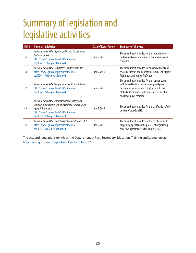# <span id="page-30-0"></span>Summary of legislation and legislative activities

| <b>Bill#</b> | <b>Name of legislation</b>                                                                                                                                                                           | <b>Date of Royal Assent</b> | <b>Summary of changes</b>                                                                                                                                                                                                        |
|--------------|------------------------------------------------------------------------------------------------------------------------------------------------------------------------------------------------------|-----------------------------|----------------------------------------------------------------------------------------------------------------------------------------------------------------------------------------------------------------------------------|
| 25           | An Act to Amend the Apprenticeship and Occupational<br>Certification Act<br>http://www1.gnb.ca/legis/bill/editform-e.<br>asp?ID=1163&legi=58#=1                                                      | June 5, 2015                | The amendment provided for the recognition of<br>professional credentials from other provinces and<br>countries.                                                                                                                 |
| 33           | An Act to Amend the Firefighters' Compensation Act<br>http://www1.gnb.ca/legis/bill/editform-e.<br>asp?ID=1171&legi=58#=1                                                                            | June 5, 2015                | The amendment provided for enhanced burial and<br>related expenses and benefits for families of eligible<br>firefighters and former firefighters.                                                                                |
| 37           | An Act to Amend the Occupational Health and Safety Act<br>http://www1.gnb.ca/legis/bill/editform-e.<br>asp?ID=1177&legi=58#=1                                                                        | June 5, 2015                | The amendment provided for the harmonization<br>with federal legislation concerning workplace<br>hazardous chemicals and compliance with the<br>Globally Harmonized System for the classification<br>and labelling of chemicals. |
| 43           | An Act to Amend the Workplace Health, Safety and<br>Compensation Commission and Workers' Compensation<br>Appeals Tribunal Act<br>http://www1.gnb.ca/legis/bill/editform-e.<br>asp?ID=1183&legi=58#=1 | June 5, 2015                | The amendment provided for the clarification of the<br>powers of WorkSafeNB.                                                                                                                                                     |
| 51           | An Act to Amend the Public Service Labour Relations Act<br>http://www1.gnb.ca/legis/bill/editform-e.<br>asp?ID=1191&legi=58#=1                                                                       | June 5, 2015                | The amendment provided for the certification of<br>bargaining agents and the process of negotiating<br>collective agreements in the public sector.                                                                               |

The acts and regulations for which the Department of Post-Secondary Education, Training and Labour are at: <http://laws.gnb.ca/en/deplinks?subjectnumber=32>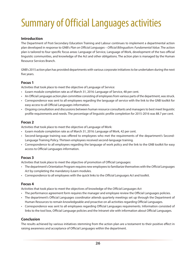# <span id="page-31-0"></span>Summary of Official Languages activities

#### **Introduction**

The Department of Post-Secondary Education Training and Labour continues to implement a departmental action plan developed in response to GNB's *Plan on Official Languages – Official Bilingualism: Fundamental Value*. The action plan is tailored to four specific focus areas: Language of Service, Language of Work, development of the two official linguistic communities, and knowledge of the Act and other obligations. The action plan is managed by the Human Resource Services Branch.

GNB's 2015 action plan has provided departments with various corporate initiatives to be undertaken during the next five years.

#### **Focus 1**

Activities that took place to meet the objective of Language of Service:

- iLearn module completion rate as of March 31, 2016: Language of Service, 48 per cent.
- An Official Languages action plan committee consisting of employees from various parts of the department, was struck.
- Correspondence was sent to all employees regarding the language of service with the link to the GNB toolkit for easy access to all Official Languages information.
- Ongoing consultation and discussions between human resource consultants and managers to best meet linguistic profile requirements and needs. The percentage of linguistic profile completion for 2015-2016 was 88.7 per cent.

#### **Focus 2**

Activities that took place to meet the objective of Language of Work:

- iLearn module completion rate as of March 31, 2016: Language of Work, 42 per cent.
- Second-language training was offered to employees who met the requirements of the department's Second-Language Training Policy. Thirteen employees received second-language training.
- Correspondence to all employees regarding the language of work policy and the link to the GNB toolkit for easy access to Official Languages information.

#### **Focus 3**

Activities that took place to meet the objective of promotion of Official Languages:

- The department's Orientation Program requires new employees to familiarize themselves with the *Official Languages Act* by completing the mandatory iLearn modules.
- Correspondence to all employees with the quick links to the *Official Languages Act* and toolkit.

#### **Focus 4**

Activities that took place to meet the objectives of knowledge of the *Official Languages Act*:

- The performance agreement form requires the manager and employee review the Official Languages policies.
- The department's Official Languages coordinator attends quarterly meetings set up through the Department of Human Resources to remain knowledgeable and proactive on all activities regarding Official Languages.
- Correspondence was sent to all employees regarding Official Languages requirements. Information consisted of links to the tool box, Official Language policies and the Intranet site with information about Official Languages.

#### **Conclusion**

The results achieved by various initiatives stemming from the action plan are a testament to their positive effect in raising awareness and acceptance of Official Languages within the department.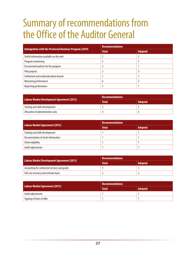# <span id="page-32-0"></span>Summary of recommendations from the Office of the Auditor General

| Immigration with the Provincial Nominee Program (2010) | <b>Recommendations</b> |                |  |
|--------------------------------------------------------|------------------------|----------------|--|
|                                                        | <b>Total</b>           | <b>Adopted</b> |  |
| Useful information available on the web                |                        |                |  |
| Program monitoring                                     |                        |                |  |
| Documented policies for the program                    |                        |                |  |
| Pilot projects                                         |                        |                |  |
| Settlement and multiculturalism branch                 |                        |                |  |
| Measuring performance                                  | h                      |                |  |
| Reporting performance                                  |                        |                |  |

|                                            | <b>Recommendations</b> |                |  |
|--------------------------------------------|------------------------|----------------|--|
| Labour Market Development Agreement (2012) | <b>Total</b>           | <b>Adopted</b> |  |
| Training and skills development            |                        |                |  |
| Allocation of administration costs         |                        |                |  |

| Labour Market Agreement (2012)      | <b>Recommendations</b> |                |  |
|-------------------------------------|------------------------|----------------|--|
|                                     | <b>Total</b>           | <b>Adopted</b> |  |
| Training and skills development     |                        |                |  |
| Documentation of client information |                        |                |  |
| Client eligibility                  |                        |                |  |
| Audit adjustments                   |                        |                |  |

| Labour Market Development Agreement (2013)    | <b>Recommendations</b> |                |  |
|-----------------------------------------------|------------------------|----------------|--|
|                                               | <b>Total</b>           | <b>Adopted</b> |  |
| Accounting for contracted services and grants |                        |                |  |
| Full cost recovery and estimate basis         |                        |                |  |

| Labour Market Agreement (2013) | Recommendations |                |  |
|--------------------------------|-----------------|----------------|--|
|                                | <b>Total</b>    | <b>Adopted</b> |  |
| Audit adjustments              |                 |                |  |
| Signing of letter of offer     |                 |                |  |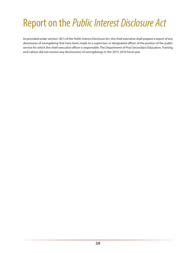# <span id="page-33-0"></span>Report on the *Public Interest Disclosure Act*

As provided under section 18(1) of the *Public Interest Disclosure Act*, the chief executive shall prepare a report of any disclosures of wrongdoing that have been made to a supervisor or designated officer of the portion of the public service for which the chief executive officer is responsible. The Department of Post-Secondary Education, Training and Labour did not receive any disclosure(s) of wrongdoings in the 2015-2016 fiscal year.